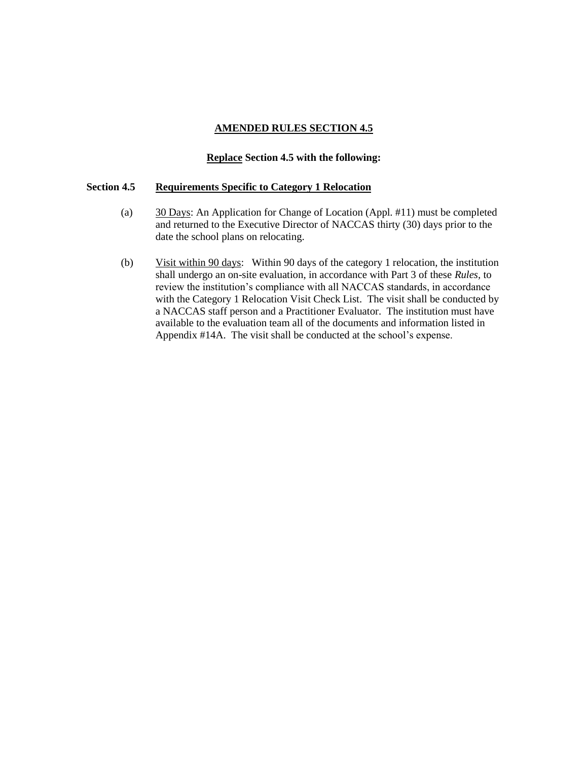### **Replace Section 4.5 with the following:**

### **Section 4.5 Requirements Specific to Category 1 Relocation**

- (a) 30 Days: An Application for Change of Location (Appl. #11) must be completed and returned to the Executive Director of NACCAS thirty (30) days prior to the date the school plans on relocating.
- (b) Visit within 90 days: Within 90 days of the category 1 relocation, the institution shall undergo an on-site evaluation, in accordance with Part 3 of these *Rules,* to review the institution's compliance with all NACCAS standards, in accordance with the Category 1 Relocation Visit Check List. The visit shall be conducted by a NACCAS staff person and a Practitioner Evaluator. The institution must have available to the evaluation team all of the documents and information listed in Appendix #14A. The visit shall be conducted at the school's expense.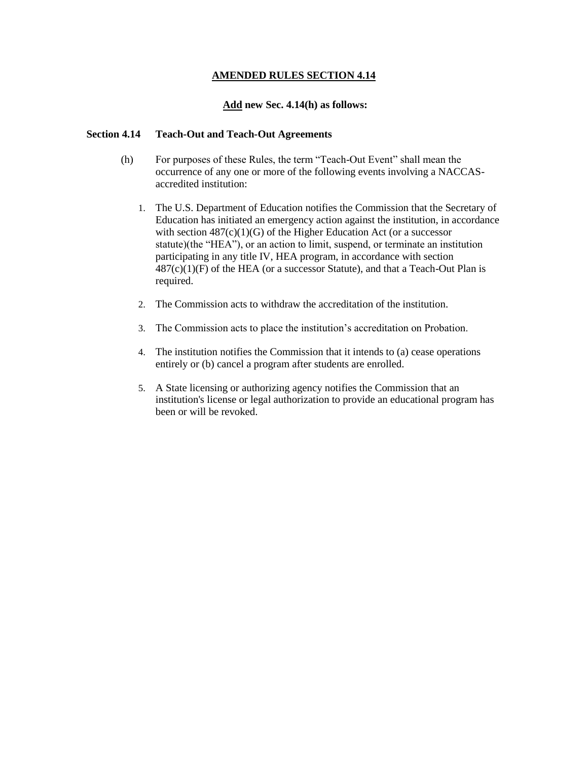### **Add new Sec. 4.14(h) as follows:**

### **Section 4.14 Teach-Out and Teach-Out Agreements**

- (h) For purposes of these Rules, the term "Teach-Out Event" shall mean the occurrence of any one or more of the following events involving a NACCASaccredited institution:
	- 1. The U.S. Department of Education notifies the Commission that the Secretary of Education has initiated an emergency action against the institution, in accordance with section  $487(c)(1)(G)$  of the Higher Education Act (or a successor statute)(the "HEA"), or an action to limit, suspend, or terminate an institution participating in any title IV, HEA program, in accordance with section  $487(c)(1)(F)$  of the HEA (or a successor Statute), and that a Teach-Out Plan is required.
	- 2. The Commission acts to withdraw the accreditation of the institution.
	- 3. The Commission acts to place the institution's accreditation on Probation.
	- 4. The institution notifies the Commission that it intends to (a) cease operations entirely or (b) cancel a program after students are enrolled.
	- 5. A State licensing or authorizing agency notifies the Commission that an institution's license or legal authorization to provide an educational program has been or will be revoked.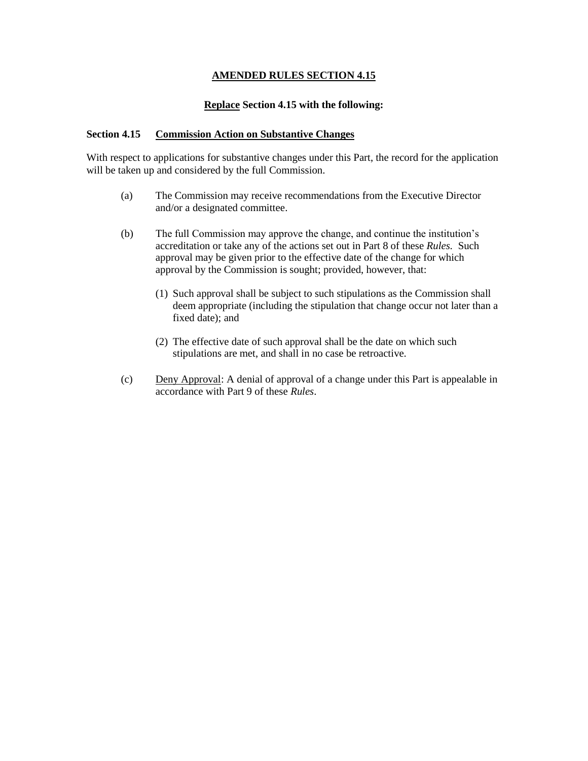### **Replace Section 4.15 with the following:**

### **Section 4.15 Commission Action on Substantive Changes**

With respect to applications for substantive changes under this Part, the record for the application will be taken up and considered by the full Commission.

- (a) The Commission may receive recommendations from the Executive Director and/or a designated committee.
- (b) The full Commission may approve the change, and continue the institution's accreditation or take any of the actions set out in Part 8 of these *Rules.* Such approval may be given prior to the effective date of the change for which approval by the Commission is sought; provided, however, that:
	- (1) Such approval shall be subject to such stipulations as the Commission shall deem appropriate (including the stipulation that change occur not later than a fixed date); and
	- (2) The effective date of such approval shall be the date on which such stipulations are met, and shall in no case be retroactive.
- (c) Deny Approval: A denial of approval of a change under this Part is appealable in accordance with Part 9 of these *Rules*.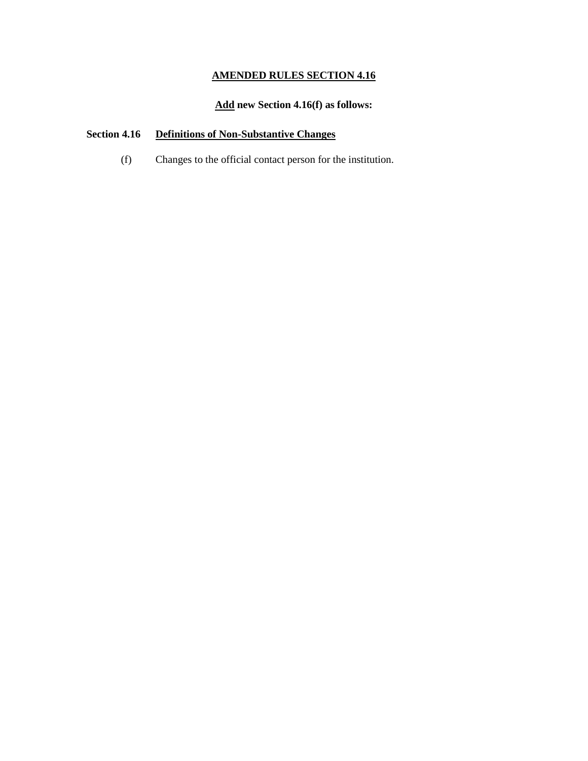# **Add new Section 4.16(f) as follows:**

# **Section 4.16 Definitions of Non-Substantive Changes**

(f) Changes to the official contact person for the institution.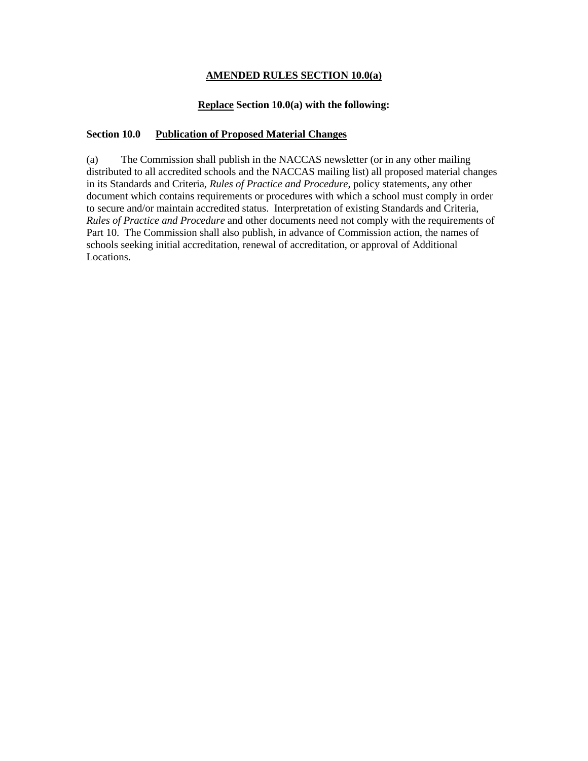## **AMENDED RULES SECTION 10.0(a)**

### **Replace Section 10.0(a) with the following:**

### **Section 10.0 Publication of Proposed Material Changes**

(a) The Commission shall publish in the NACCAS newsletter (or in any other mailing distributed to all accredited schools and the NACCAS mailing list) all proposed material changes in its Standards and Criteria, *Rules of Practice and Procedure*, policy statements, any other document which contains requirements or procedures with which a school must comply in order to secure and/or maintain accredited status. Interpretation of existing Standards and Criteria, *Rules of Practice and Procedure* and other documents need not comply with the requirements of Part 10. The Commission shall also publish, in advance of Commission action, the names of schools seeking initial accreditation, renewal of accreditation, or approval of Additional Locations.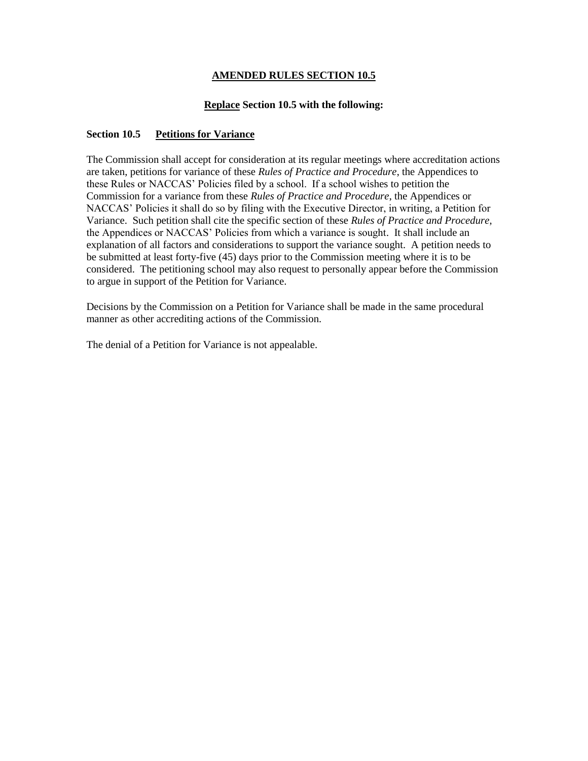# **Replace Section 10.5 with the following:**

# **Section 10.5 Petitions for Variance**

The Commission shall accept for consideration at its regular meetings where accreditation actions are taken, petitions for variance of these *Rules of Practice and Procedure*, the Appendices to these Rules or NACCAS' Policies filed by a school. If a school wishes to petition the Commission for a variance from these *Rules of Practice and Procedure*, the Appendices or NACCAS' Policies it shall do so by filing with the Executive Director, in writing, a Petition for Variance. Such petition shall cite the specific section of these *Rules of Practice and Procedure*, the Appendices or NACCAS' Policies from which a variance is sought. It shall include an explanation of all factors and considerations to support the variance sought. A petition needs to be submitted at least forty-five (45) days prior to the Commission meeting where it is to be considered. The petitioning school may also request to personally appear before the Commission to argue in support of the Petition for Variance.

Decisions by the Commission on a Petition for Variance shall be made in the same procedural manner as other accrediting actions of the Commission.

The denial of a Petition for Variance is not appealable.